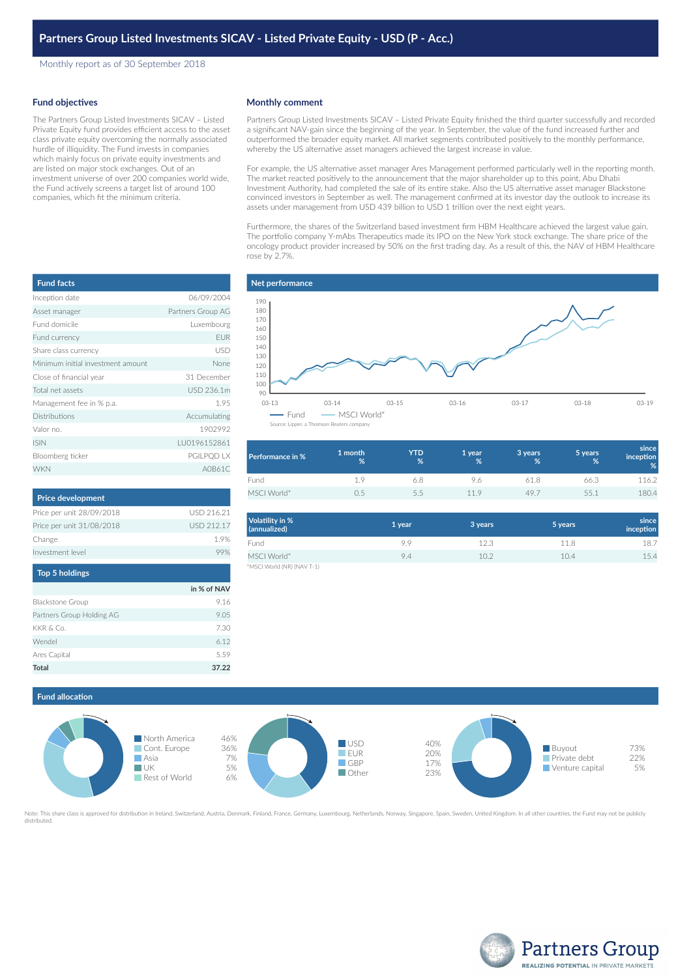Monthly report as of 30 September 2018

## **Fund objectives**

The Partners Group Listed Investments SICAV – Listed Private Equity fund provides efficient access to the asset class private equity overcoming the normally associated hurdle of illiquidity. The Fund invests in companies which mainly focus on private equity investments and are listed on major stock exchanges. Out of an investment universe of over 200 companies world wide, the Fund actively screens a target list of around 100 companies, which fit the minimum criteria.

## **Monthly comment**

Partners Group Listed Investments SICAV – Listed Private Equity finished the third quarter successfully and recorded a significant NAV-gain since the beginning of the year. In September, the value of the fund increased further and outperformed the broader equity market. All market segments contributed positively to the monthly performance, whereby the US alternative asset managers achieved the largest increase in value.

For example, the US alternative asset manager Ares Management performed particularly well in the reporting month. The market reacted positively to the announcement that the major shareholder up to this point, Abu Dhabi Investment Authority, had completed the sale of its entire stake. Also the US alternative asset manager Blackstone convinced investors in September as well. The management confirmed at its investor day the outlook to increase its assets under management from USD 439 billion to USD 1 trillion over the next eight years.

Furthermore, the shares of the Switzerland based investment firm HBM Healthcare achieved the largest value gain. The portfolio company Y-mAbs Therapeutics made its IPO on the New York stock exchange. The share price of the oncology product provider increased by 50% on the first trading day. As a result of this, the NAV of HBM Healthcare rose by 2.7%.



| Performance in % | 1 month<br>% | YTD<br>% | 1 year<br>℅ | 3 years<br>% | 5 years<br>% | since<br>inception<br>% |
|------------------|--------------|----------|-------------|--------------|--------------|-------------------------|
| Fund             | 1.9          | 6.8      | 96          | 61 8         | 66.3         | 116.2                   |
| MSCI World*      | $) -$        | 5.5      | 119         | 49.7         | 551          | 180.4                   |

| Volatility in %<br>(annualized) | 1 year | 3 years           | 5 years | since<br>inception |
|---------------------------------|--------|-------------------|---------|--------------------|
| Fund                            | 9.9    | 12.3              | 11.8    | 18.7               |
| MSCI World*                     | 9.4    | 10.2 <sup>2</sup> | 10.4    | 15.4               |
| *MSCI World (NR) (NAV T-1)      |        |                   |         |                    |

| <b>Fund facts</b>                 |                   |
|-----------------------------------|-------------------|
| Inception date                    | 06/09/2004        |
| Asset manager                     | Partners Group AG |
| Fund domicile                     | Luxembourg        |
| Fund currency                     | <b>EUR</b>        |
| Share class currency              | USD               |
| Minimum initial investment amount | None              |
| Close of financial year           | 31 December       |
| Total net assets                  | USD 236.1m        |
| Management fee in % p.a.          | 1.95              |
| <b>Distributions</b>              | Accumulating      |
| Valor no.                         | 1902992           |
| <b>ISIN</b>                       | LU0196152861      |
| Bloomberg ticker                  | PGILPQD LX        |
| <b>WKN</b>                        | A0B61C            |

| <b>Price development</b>  |            |
|---------------------------|------------|
| Price per unit 28/09/2018 | USD 216.21 |
| Price per unit 31/08/2018 | USD 212.17 |
| Change                    | 19%        |
| Investment level          | 99%        |
| <b>Top 5 holdings</b>     |            |

|                           | in % of NAV |
|---------------------------|-------------|
| <b>Blackstone Group</b>   | 9.16        |
| Partners Group Holding AG | 9.05        |
| KKR & Co.                 | 7.30        |
| Wendel                    | 6.12        |
| Ares Capital              | 5.59        |
| Total                     | 37.22       |



te: This share class is approved for distribution in Ireland, Switzerland, Austria, Denmark, Finland, France, Germany, Luxembourg, Netherlands, Norway, Singapore, Spain, Sweden, United Kingdom. In all other countries, the distributed